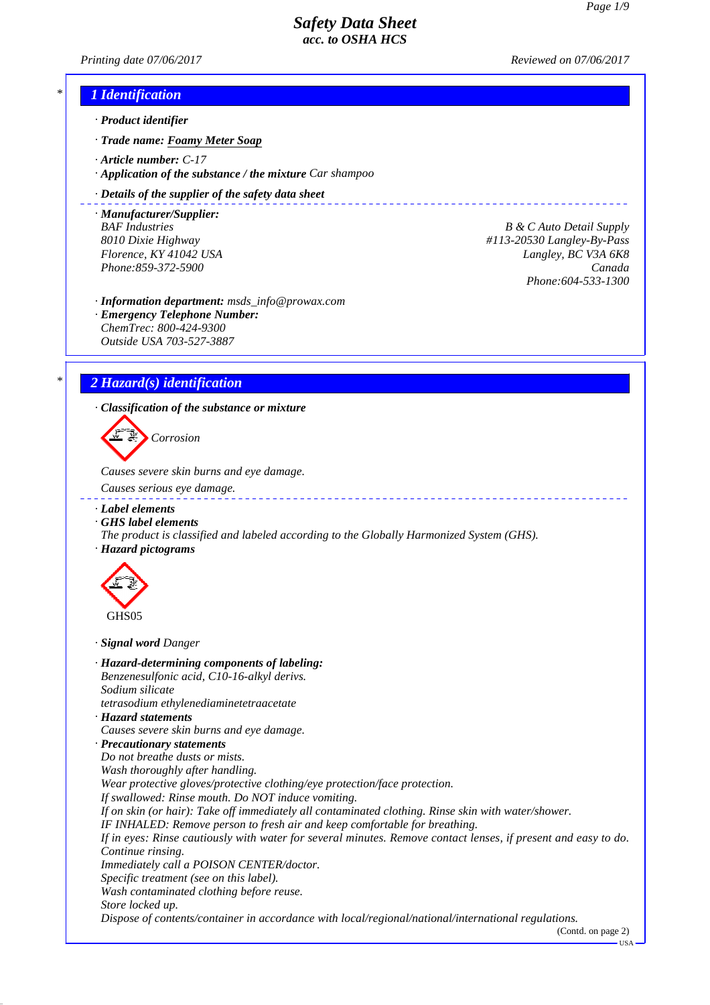*Printing date 07/06/2017 Reviewed on 07/06/2017*

# *\* 1 Identification*

- *· Product identifier*
- *· Trade name: Foamy Meter Soap*
- *· Article number: C-17*
- *· Application of the substance / the mixture Car shampoo*

#### *· Details of the supplier of the safety data sheet*

*· Manufacturer/Supplier:*

**B** *B*  $\&$  *C Auto Detail Supply B*  $\&$  *C Auto Detail Supply 8010 Dixie Highway #113-20530 Langley-By-Pass Florence, KY 41042 USA Langley, BC V3A 6K8 Phone:859-372-5900 Canada Phone:604-533-1300*

\_\_\_\_\_\_\_\_\_\_\_\_\_\_\_\_\_\_

*· Information department: msds\_info@prowax.com*

*· Emergency Telephone Number: ChemTrec: 800-424-9300 Outside USA 703-527-3887*

## *\* 2 Hazard(s) identification*

*· Classification of the substance or mixture*

*Corrosion*

*Causes severe skin burns and eye damage.* 

- *Causes serious eye damage.*
- *· Label elements*
- *· GHS label elements*
- *The product is classified and labeled according to the Globally Harmonized System (GHS). · Hazard pictograms*



*· Signal word Danger*

*· Hazard-determining components of labeling: Benzenesulfonic acid, C10-16-alkyl derivs. Sodium silicate tetrasodium ethylenediaminetetraacetate · Hazard statements Causes severe skin burns and eye damage. · Precautionary statements Do not breathe dusts or mists. Wash thoroughly after handling. Wear protective gloves/protective clothing/eye protection/face protection. If swallowed: Rinse mouth. Do NOT induce vomiting. If on skin (or hair): Take off immediately all contaminated clothing. Rinse skin with water/shower. IF INHALED: Remove person to fresh air and keep comfortable for breathing. If in eyes: Rinse cautiously with water for several minutes. Remove contact lenses, if present and easy to do. Continue rinsing. Immediately call a POISON CENTER/doctor. Specific treatment (see on this label). Wash contaminated clothing before reuse. Store locked up. Dispose of contents/container in accordance with local/regional/national/international regulations.*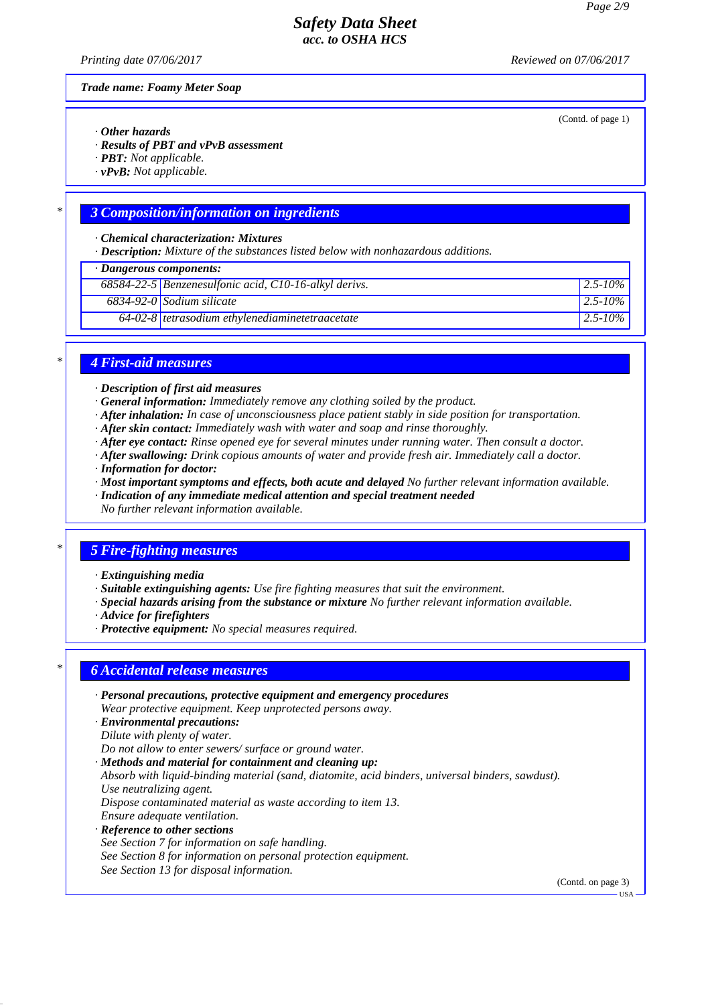*Printing date 07/06/2017 Reviewed on 07/06/2017*

(Contd. of page 1)

*Trade name: Foamy Meter Soap*

- *· Other hazards*
- *· Results of PBT and vPvB assessment*
- *· PBT: Not applicable.*
- *· vPvB: Not applicable.*

### *\* 3 Composition/information on ingredients*

*· Chemical characterization: Mixtures*

*· Description: Mixture of the substances listed below with nonhazardous additions.*

| · Dangerous components: |                                                       |               |  |
|-------------------------|-------------------------------------------------------|---------------|--|
|                         | 68584-22-5 Benzenesulfonic acid, C10-16-alkyl derivs. | $12.5 - 10\%$ |  |
|                         | $6834-92-0$ Sodium silicate                           | $12.5 - 10\%$ |  |
|                         | $64-02-8$ tetrasodium ethylenediaminetetraacetate     | $12.5 - 10\%$ |  |

#### *\* 4 First-aid measures*

*· Description of first aid measures*

- *· General information: Immediately remove any clothing soiled by the product.*
- *· After inhalation: In case of unconsciousness place patient stably in side position for transportation.*
- *· After skin contact: Immediately wash with water and soap and rinse thoroughly.*
- *· After eye contact: Rinse opened eye for several minutes under running water. Then consult a doctor.*
- *· After swallowing: Drink copious amounts of water and provide fresh air. Immediately call a doctor.*
- *· Information for doctor:*
- *· Most important symptoms and effects, both acute and delayed No further relevant information available.*
- *· Indication of any immediate medical attention and special treatment needed*
- *No further relevant information available.*

### *\* 5 Fire-fighting measures*

- *· Extinguishing media*
- *· Suitable extinguishing agents: Use fire fighting measures that suit the environment.*
- *· Special hazards arising from the substance or mixture No further relevant information available.*
- *· Advice for firefighters*
- *· Protective equipment: No special measures required.*

#### *\* 6 Accidental release measures*

- *· Personal precautions, protective equipment and emergency procedures Wear protective equipment. Keep unprotected persons away.*
- *· Environmental precautions:*
- *Dilute with plenty of water.*

*Do not allow to enter sewers/ surface or ground water.*

*· Methods and material for containment and cleaning up: Absorb with liquid-binding material (sand, diatomite, acid binders, universal binders, sawdust). Use neutralizing agent. Dispose contaminated material as waste according to item 13. Ensure adequate ventilation. · Reference to other sections See Section 7 for information on safe handling.*

*See Section 8 for information on personal protection equipment. See Section 13 for disposal information.*

(Contd. on page 3)

USA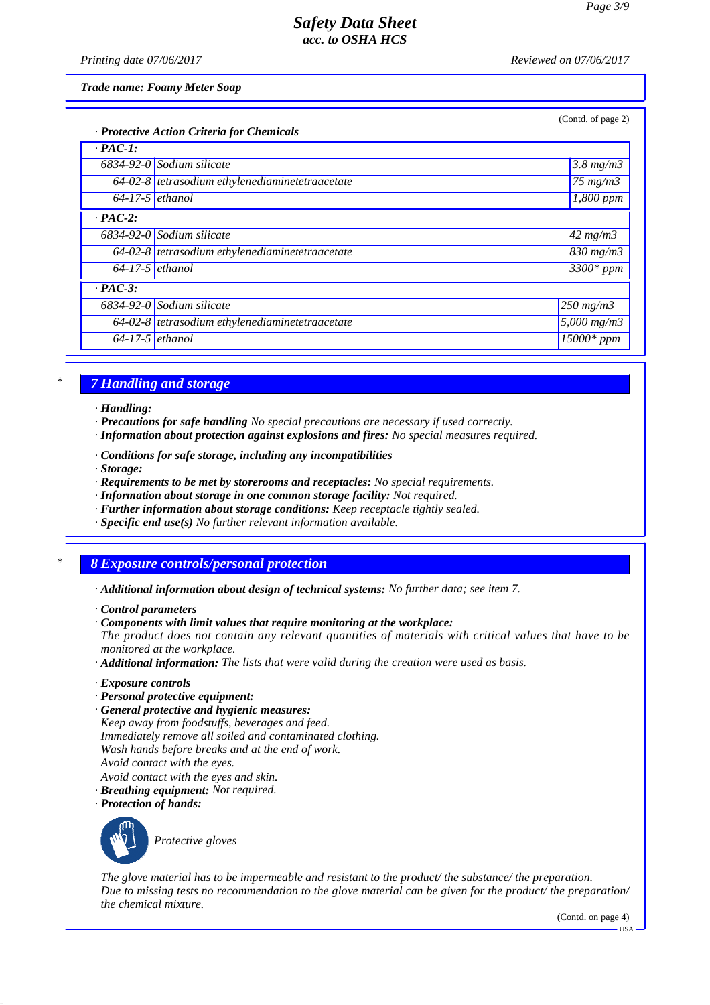*Printing date 07/06/2017 Reviewed on 07/06/2017*

*Trade name: Foamy Meter Soap*

| (Contd. of page 2)<br>· Protective Action Criteria for Chemicals |                                                   |                             |  |
|------------------------------------------------------------------|---------------------------------------------------|-----------------------------|--|
| $\cdot$ PAC-1:                                                   |                                                   |                             |  |
|                                                                  | $6834-92-0$ Sodium silicate                       | $3.8$ mg/m $3$              |  |
|                                                                  | $64-02-8$ tetrasodium ethylenediaminetetraacetate | $\sqrt{75}$ mg/m $\sqrt{3}$ |  |
| $64-17-5$ ethanol                                                |                                                   | $\overline{I}$ ,800 ppm     |  |
| $\cdot$ PAC-2:                                                   |                                                   |                             |  |
|                                                                  | $6834-92-0$ Sodium silicate                       | $42$ mg/m3                  |  |
|                                                                  | 64-02-8 tetrasodium ethylenediaminetetraacetate   | $\sqrt{830}$ mg/m3          |  |
| $64-17-5$ ethanol                                                |                                                   | $3300*$ ppm                 |  |
| $\cdot$ PAC-3:                                                   |                                                   |                             |  |
|                                                                  | $6834-92-0$ Sodium silicate                       | $250$ mg/m $3$              |  |
|                                                                  | $64-02-8$ tetrasodium ethylenediaminetetraacetate | $5,000$ mg/m $3$            |  |
| $64-17-5$ ethanol                                                |                                                   | $\overline{15000}$ * ppm    |  |

# *\* 7 Handling and storage*

*· Handling:*

- *· Precautions for safe handling No special precautions are necessary if used correctly.*
- *· Information about protection against explosions and fires: No special measures required.*
- *· Conditions for safe storage, including any incompatibilities*

*· Storage:*

- *· Requirements to be met by storerooms and receptacles: No special requirements.*
- *· Information about storage in one common storage facility: Not required.*
- *· Further information about storage conditions: Keep receptacle tightly sealed.*
- *· Specific end use(s) No further relevant information available.*

## *\* 8 Exposure controls/personal protection*

- *· Additional information about design of technical systems: No further data; see item 7.*
- *· Control parameters*
- *· Components with limit values that require monitoring at the workplace:*

*The product does not contain any relevant quantities of materials with critical values that have to be monitored at the workplace.*

*· Additional information: The lists that were valid during the creation were used as basis.*

- *· Exposure controls*
- *· Personal protective equipment:*
- *· General protective and hygienic measures: Keep away from foodstuffs, beverages and feed. Immediately remove all soiled and contaminated clothing. Wash hands before breaks and at the end of work. Avoid contact with the eyes. Avoid contact with the eyes and skin.*
- *· Breathing equipment: Not required.*
- *· Protection of hands:*



*Protective gloves*

*The glove material has to be impermeable and resistant to the product/ the substance/ the preparation. Due to missing tests no recommendation to the glove material can be given for the product/ the preparation/ the chemical mixture.*

(Contd. on page 4)

USA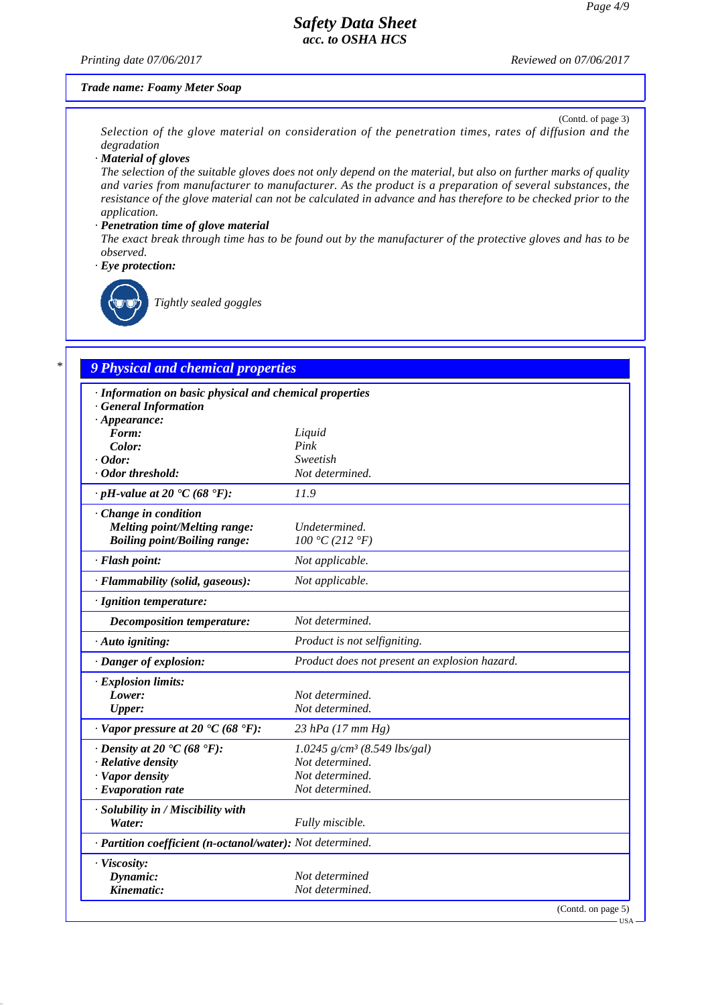#### *Printing date 07/06/2017 Reviewed on 07/06/2017*

#### *Trade name: Foamy Meter Soap*

(Contd. of page 3) *Selection of the glove material on consideration of the penetration times, rates of diffusion and the degradation*

*· Material of gloves*

*The selection of the suitable gloves does not only depend on the material, but also on further marks of quality and varies from manufacturer to manufacturer. As the product is a preparation of several substances, the resistance of the glove material can not be calculated in advance and has therefore to be checked prior to the application.*

#### *· Penetration time of glove material*

*The exact break through time has to be found out by the manufacturer of the protective gloves and has to be observed.*

*· Eye protection:*



*Tightly sealed goggles*

# *\* 9 Physical and chemical properties*

| · Information on basic physical and chemical properties    |                                               |
|------------------------------------------------------------|-----------------------------------------------|
| <b>General Information</b>                                 |                                               |
| $\cdot$ Appearance:                                        |                                               |
| Form:<br>Color:                                            | Liquid<br>Pink                                |
| $\cdot$ Odor:                                              | Sweetish                                      |
| · Odor threshold:                                          | Not determined.                               |
|                                                            |                                               |
| $\cdot$ pH-value at 20 $\text{°C}$ (68 $\text{°F}$ ):      | 11.9                                          |
| Change in condition                                        |                                               |
| Melting point/Melting range:                               | Undetermined.                                 |
| <b>Boiling point/Boiling range:</b>                        | 100 °C (212 °F)                               |
| · Flash point:                                             | Not applicable.                               |
| · Flammability (solid, gaseous):                           | Not applicable.                               |
| · Ignition temperature:                                    |                                               |
| Decomposition temperature:                                 | Not determined.                               |
| · Auto igniting:                                           | Product is not selfigniting.                  |
| · Danger of explosion:                                     | Product does not present an explosion hazard. |
| · Explosion limits:                                        |                                               |
| Lower:                                                     | Not determined.                               |
| <b>Upper:</b>                                              | Not determined.                               |
| $\cdot$ Vapor pressure at 20 $\cdot$ C (68 $\cdot$ F):     | $23$ hPa (17 mm Hg)                           |
| $\cdot$ Density at 20 $\cdot$ C (68 $\cdot$ F):            | $1.0245$ g/cm <sup>3</sup> (8.549 lbs/gal)    |
| · Relative density                                         | Not determined.                               |
| · Vapor density                                            | Not determined.                               |
| $\cdot$ Evaporation rate                                   | Not determined.                               |
| · Solubility in / Miscibility with                         |                                               |
| Water:                                                     | Fully miscible.                               |
| · Partition coefficient (n-octanol/water): Not determined. |                                               |
| · Viscosity:                                               |                                               |
| Dynamic:                                                   | Not determined                                |
| Kinematic:                                                 | Not determined.                               |
|                                                            | (Contd. on page 5)                            |

USA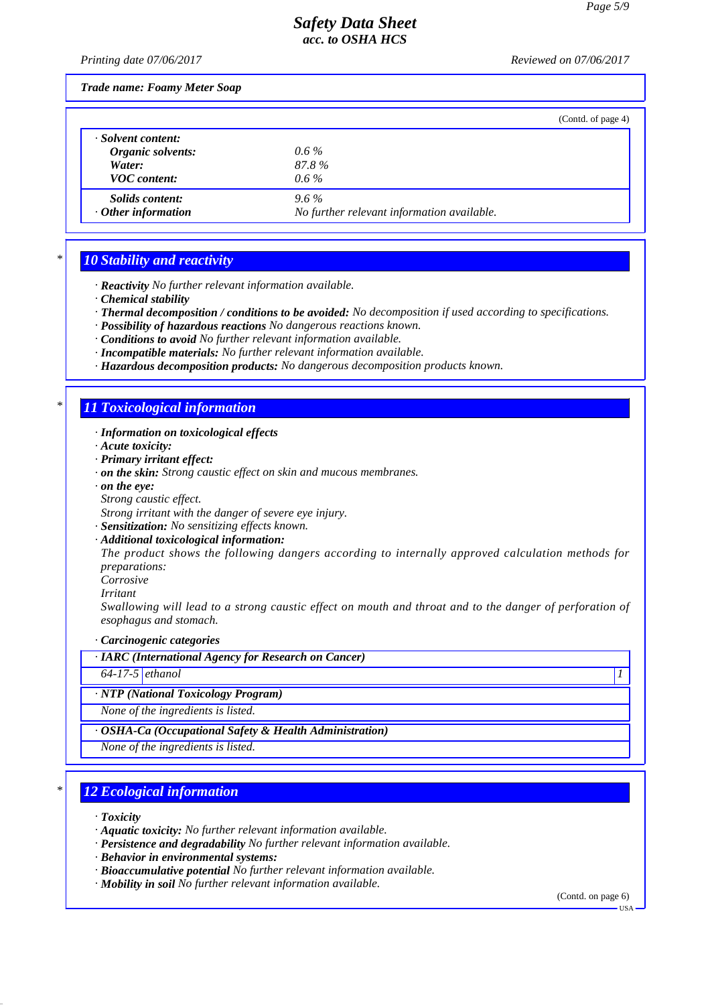*Printing date 07/06/2017 Reviewed on 07/06/2017*

*Trade name: Foamy Meter Soap*

|                           |                                            | (Contd. of page 4) |
|---------------------------|--------------------------------------------|--------------------|
| · Solvent content:        |                                            |                    |
| Organic solvents:         | $0.6\%$                                    |                    |
| Water:                    | 87.8%                                      |                    |
| <b>VOC</b> content:       | $0.6\%$                                    |                    |
| <i>Solids content:</i>    | $9.6\%$                                    |                    |
| $\cdot$ Other information | No further relevant information available. |                    |

## *\* 10 Stability and reactivity*

- *· Reactivity No further relevant information available.*
- *· Chemical stability*
- *· Thermal decomposition / conditions to be avoided: No decomposition if used according to specifications.*
- *· Possibility of hazardous reactions No dangerous reactions known.*
- *· Conditions to avoid No further relevant information available.*
- *· Incompatible materials: No further relevant information available.*
- *· Hazardous decomposition products: No dangerous decomposition products known.*

## *\* 11 Toxicological information*

- *· Information on toxicological effects*
- *· Acute toxicity:*
- *· Primary irritant effect:*
- *· on the skin: Strong caustic effect on skin and mucous membranes.*
- *· on the eye:*
- *Strong caustic effect.*

*Strong irritant with the danger of severe eye injury.*

- *· Sensitization: No sensitizing effects known.*
- *· Additional toxicological information:*

*The product shows the following dangers according to internally approved calculation methods for preparations:*

*Corrosive*

*Irritant*

*Swallowing will lead to a strong caustic effect on mouth and throat and to the danger of perforation of esophagus and stomach.*

*· Carcinogenic categories*

*· IARC (International Agency for Research on Cancer)*

*64-17-5 ethanol 1* 

#### *· NTP (National Toxicology Program)*

*None of the ingredients is listed.*

*· OSHA-Ca (Occupational Safety & Health Administration)*

*None of the ingredients is listed.*

### *\* 12 Ecological information*

*· Toxicity*

- *· Aquatic toxicity: No further relevant information available.*
- *· Persistence and degradability No further relevant information available.*
- *· Behavior in environmental systems:*
- *· Bioaccumulative potential No further relevant information available.*
- *· Mobility in soil No further relevant information available.*

(Contd. on page 6) USA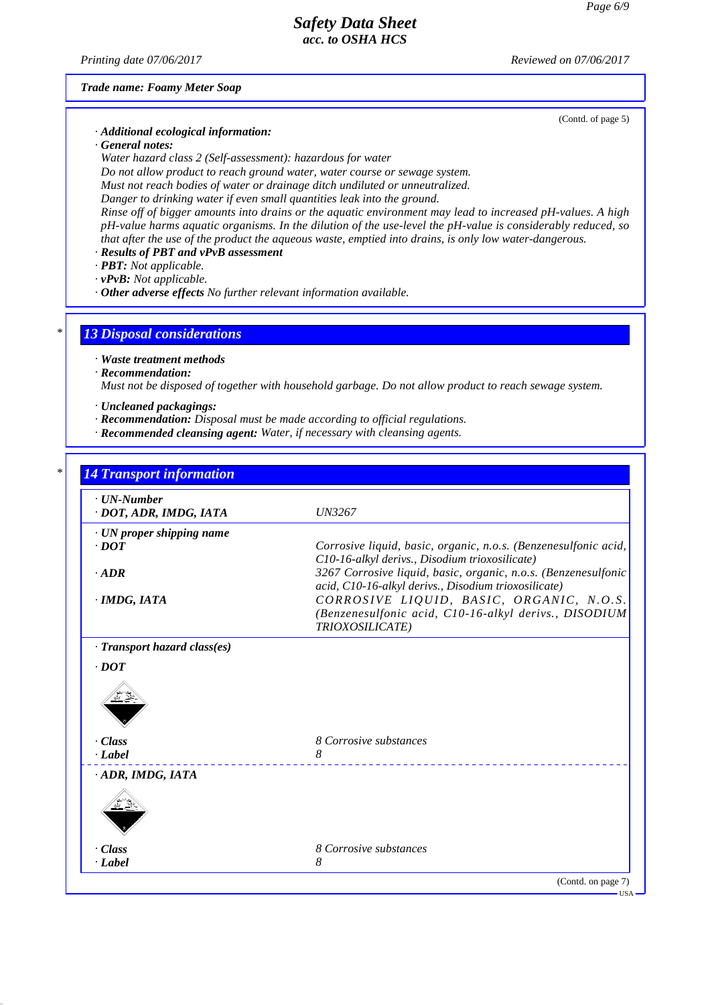*Printing date 07/06/2017 Reviewed on 07/06/2017*

(Contd. of page 5)

*Trade name: Foamy Meter Soap*

- *· Additional ecological information:*
- *· General notes:*

*Water hazard class 2 (Self-assessment): hazardous for water*

*Do not allow product to reach ground water, water course or sewage system.*

*Must not reach bodies of water or drainage ditch undiluted or unneutralized.*

*Danger to drinking water if even small quantities leak into the ground.*

*Rinse off of bigger amounts into drains or the aquatic environment may lead to increased pH-values. A high pH-value harms aquatic organisms. In the dilution of the use-level the pH-value is considerably reduced, so that after the use of the product the aqueous waste, emptied into drains, is only low water-dangerous.*

*· Results of PBT and vPvB assessment*

- *· PBT: Not applicable.*
- *· vPvB: Not applicable.*
- *· Other adverse effects No further relevant information available.*

# *\* 13 Disposal considerations*

- *· Waste treatment methods*
- *· Recommendation:*

*Must not be disposed of together with household garbage. Do not allow product to reach sewage system.*

- *· Uncleaned packagings:*
- *· Recommendation: Disposal must be made according to official regulations.*
- *· Recommended cleansing agent: Water, if necessary with cleansing agents.*

| $\cdot$ UN-Number<br>· DOT, ADR, IMDG, IATA | <i>UN3267</i>                                                                                                     |
|---------------------------------------------|-------------------------------------------------------------------------------------------------------------------|
|                                             |                                                                                                                   |
| · UN proper shipping name<br>$\cdot$ DOT    |                                                                                                                   |
|                                             | Corrosive liquid, basic, organic, n.o.s. (Benzenesulfonic acid,<br>C10-16-alkyl derivs., Disodium trioxosilicate) |
| $\cdot$ ADR                                 | 3267 Corrosive liquid, basic, organic, n.o.s. (Benzenesulfonic                                                    |
|                                             | acid, C10-16-alkyl derivs., Disodium trioxosilicate)                                                              |
| · IMDG, IATA                                | CORROSIVE LIQUID, BASIC, ORGANIC, N.O.S.                                                                          |
|                                             | (Benzenesulfonic acid, C10-16-alkyl derivs., DISODIUM                                                             |
|                                             | TRIOXOSILICATE)                                                                                                   |
| · Transport hazard class(es)                |                                                                                                                   |
| $\cdot$ DOT                                 |                                                                                                                   |
|                                             |                                                                                                                   |
| · Class                                     | 8 Corrosive substances                                                                                            |
| $\cdot$ <i>Label</i>                        | 8                                                                                                                 |
| · ADR, IMDG, IATA                           |                                                                                                                   |
|                                             |                                                                                                                   |
|                                             |                                                                                                                   |
|                                             |                                                                                                                   |
|                                             |                                                                                                                   |
|                                             | 8 Corrosive substances                                                                                            |
| · Class                                     |                                                                                                                   |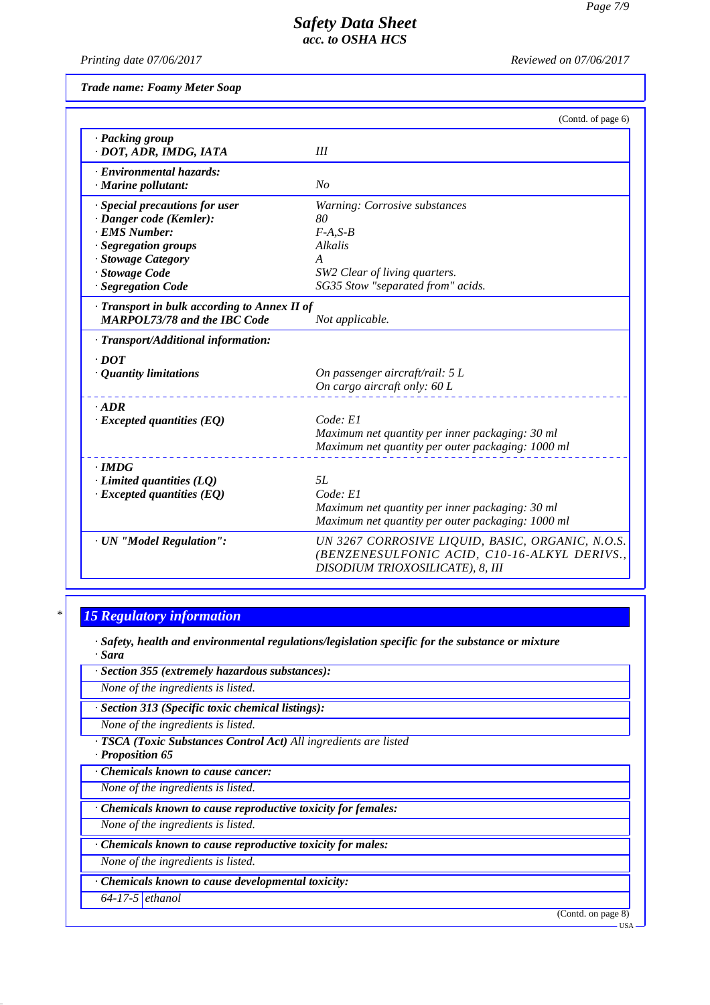*Printing date 07/06/2017 Reviewed on 07/06/2017*

*Trade name: Foamy Meter Soap*

|                                              | (Contd. of page 6)                                                               |
|----------------------------------------------|----------------------------------------------------------------------------------|
| · Packing group                              |                                                                                  |
| · DOT, ADR, IMDG, IATA                       | III                                                                              |
| · Environmental hazards:                     |                                                                                  |
| · Marine pollutant:                          | No                                                                               |
| · Special precautions for user               | Warning: Corrosive substances                                                    |
| · Danger code (Kemler):                      | 80                                                                               |
| · EMS Number:                                | $F-A.S-B$                                                                        |
| · Segregation groups                         | Alkalis                                                                          |
| · Stowage Category                           | $\overline{A}$                                                                   |
| · Stowage Code                               | SW2 Clear of living quarters.                                                    |
| · Segregation Code                           | SG35 Stow "separated from" acids.                                                |
| · Transport in bulk according to Annex II of |                                                                                  |
| <b>MARPOL73/78 and the IBC Code</b>          | Not applicable.                                                                  |
| $\cdot$ Transport/Additional information:    |                                                                                  |
| $\cdot$ DOT                                  |                                                                                  |
| $\cdot$ Quantity limitations                 | On passenger aircraft/rail: 5 L                                                  |
|                                              | On cargo aircraft only: 60 L                                                     |
| $.$ ADR                                      |                                                                                  |
| $\cdot$ Excepted quantities (EQ)             | Code: El                                                                         |
|                                              | Maximum net quantity per inner packaging: 30 ml                                  |
|                                              | Maximum net quantity per outer packaging: 1000 ml                                |
| $\cdot$ IMDG                                 |                                                                                  |
| $\cdot$ Limited quantities (LQ)              | 5L                                                                               |
| $\cdot$ Excepted quantities (EQ)             | Code: El                                                                         |
|                                              | Maximum net quantity per inner packaging: 30 ml                                  |
|                                              | Maximum net quantity per outer packaging: 1000 ml                                |
| · UN "Model Regulation":                     | UN 3267 CORROSIVE LIQUID, BASIC, ORGANIC, N.O.S.                                 |
|                                              | (BENZENESULFONIC ACID, C10-16-ALKYL DERIVS.,<br>DISODIUM TRIOXOSILICATE), 8, III |

# *\* 15 Regulatory information*

*· Safety, health and environmental regulations/legislation specific for the substance or mixture · Sara*

*· Section 355 (extremely hazardous substances):*

*None of the ingredients is listed.*

*· Section 313 (Specific toxic chemical listings):*

*None of the ingredients is listed.*

*· TSCA (Toxic Substances Control Act) All ingredients are listed*

*· Proposition 65*

*· Chemicals known to cause cancer:*

*None of the ingredients is listed.*

*· Chemicals known to cause reproductive toxicity for females:*

*None of the ingredients is listed.*

*· Chemicals known to cause reproductive toxicity for males:*

*None of the ingredients is listed.*

*· Chemicals known to cause developmental toxicity:*

*64-17-5 ethanol*

(Contd. on page 8)

USA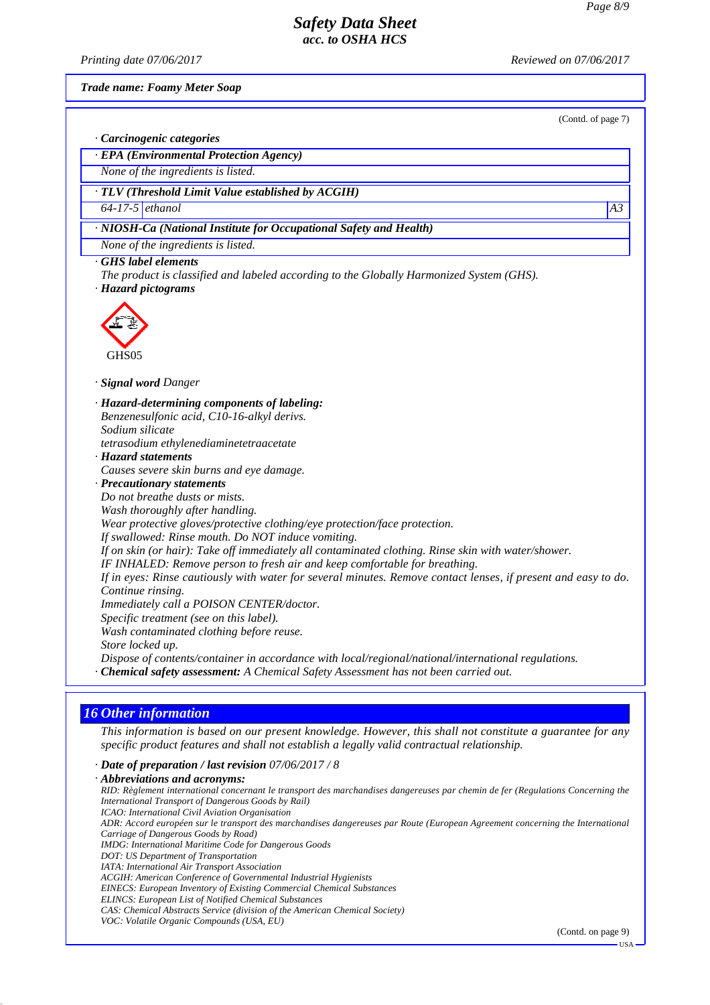*Printing date 07/06/2017 Reviewed on 07/06/2017*

(Contd. of page 7)

*Trade name: Foamy Meter Soap*

*· Carcinogenic categories*

*· EPA (Environmental Protection Agency)*

*None of the ingredients is listed.*

*· TLV (Threshold Limit Value established by ACGIH)*

*64-17-5 ethanol A3*

*· NIOSH-Ca (National Institute for Occupational Safety and Health)*

*None of the ingredients is listed.*

*· GHS label elements*

*The product is classified and labeled according to the Globally Harmonized System (GHS). · Hazard pictograms*



*· Signal word Danger*

*· Hazard-determining components of labeling: Benzenesulfonic acid, C10-16-alkyl derivs. Sodium silicate tetrasodium ethylenediaminetetraacetate*

*· Hazard statements*

*Causes severe skin burns and eye damage.*

*· Precautionary statements*

*Do not breathe dusts or mists.*

*Wash thoroughly after handling.*

*Wear protective gloves/protective clothing/eye protection/face protection.*

*If swallowed: Rinse mouth. Do NOT induce vomiting.*

*If on skin (or hair): Take off immediately all contaminated clothing. Rinse skin with water/shower.*

*IF INHALED: Remove person to fresh air and keep comfortable for breathing.*

*If in eyes: Rinse cautiously with water for several minutes. Remove contact lenses, if present and easy to do. Continue rinsing.*

*Immediately call a POISON CENTER/doctor.*

*Specific treatment (see on this label).*

*Wash contaminated clothing before reuse.*

*Store locked up.*

*Dispose of contents/container in accordance with local/regional/national/international regulations.*

*· Chemical safety assessment: A Chemical Safety Assessment has not been carried out.*

# *16 Other information*

*This information is based on our present knowledge. However, this shall not constitute a guarantee for any specific product features and shall not establish a legally valid contractual relationship.*

### *· Date of preparation / last revision 07/06/2017 / 8*

*· Abbreviations and acronyms: RID: Règlement international concernant le transport des marchandises dangereuses par chemin de fer (Regulations Concerning the International Transport of Dangerous Goods by Rail) ICAO: International Civil Aviation Organisation ADR: Accord européen sur le transport des marchandises dangereuses par Route (European Agreement concerning the International Carriage of Dangerous Goods by Road) IMDG: International Maritime Code for Dangerous Goods DOT: US Department of Transportation IATA: International Air Transport Association ACGIH: American Conference of Governmental Industrial Hygienists EINECS: European Inventory of Existing Commercial Chemical Substances ELINCS: European List of Notified Chemical Substances CAS: Chemical Abstracts Service (division of the American Chemical Society) VOC: Volatile Organic Compounds (USA, EU)*

(Contd. on page 9)

USA